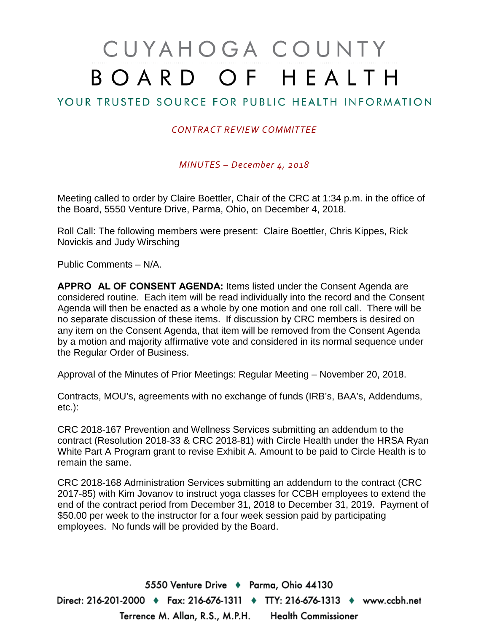# CUYAHOGA COUNTY BOARD OF HEALTH

# YOUR TRUSTED SOURCE FOR PUBLIC HEALTH INFORMATION

### *CONTRACT REVIEW COMMITTEE*

*MINUTES – December 4, 2018*

Meeting called to order by Claire Boettler, Chair of the CRC at 1:34 p.m. in the office of the Board, 5550 Venture Drive, Parma, Ohio, on December 4, 2018.

Roll Call: The following members were present: Claire Boettler, Chris Kippes, Rick Novickis and Judy Wirsching

Public Comments – N/A.

**APPRO** AL OF CONSENT AGENDA: Items listed under the Consent Agenda are considered routine. Each item will be read individually into the record and the Consent Agenda will then be enacted as a whole by one motion and one roll call. There will be no separate discussion of these items. If discussion by CRC members is desired on any item on the Consent Agenda, that item will be removed from the Consent Agenda by a motion and majority affirmative vote and considered in its normal sequence under the Regular Order of Business.

Approval of the Minutes of Prior Meetings: Regular Meeting – November 20, 2018.

Contracts, MOU's, agreements with no exchange of funds (IRB's, BAA's, Addendums, etc.):

CRC 2018-167 Prevention and Wellness Services submitting an addendum to the contract (Resolution 2018-33 & CRC 2018-81) with Circle Health under the HRSA Ryan White Part A Program grant to revise Exhibit A. Amount to be paid to Circle Health is to remain the same.

CRC 2018-168 Administration Services submitting an addendum to the contract (CRC 2017-85) with Kim Jovanov to instruct yoga classes for CCBH employees to extend the end of the contract period from December 31, 2018 to December 31, 2019. Payment of \$50.00 per week to the instructor for a four week session paid by participating employees. No funds will be provided by the Board.

5550 Venture Drive + Parma, Ohio 44130 Direct: 216-201-2000 ♦ Fax: 216-676-1311 ♦ TTY: 216-676-1313 ♦ www.ccbh.net Terrence M. Allan, R.S., M.P.H. Health Commissioner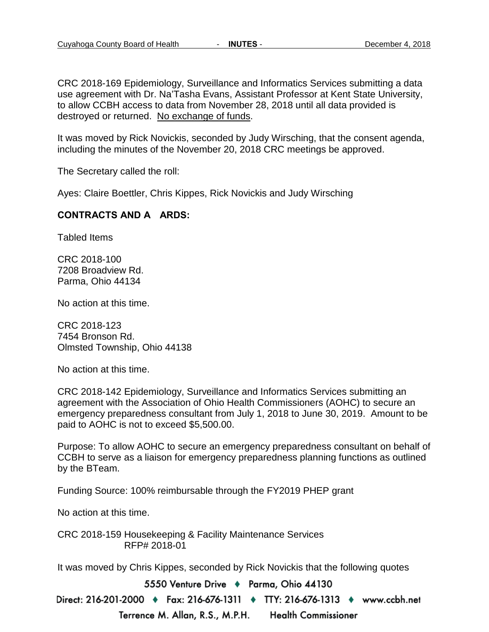CRC 2018-169 Epidemiology, Surveillance and Informatics Services submitting a data use agreement with Dr. Na'Tasha Evans, Assistant Professor at Kent State University, to allow CCBH access to data from November 28, 2018 until all data provided is destroyed or returned. No exchange of funds.

It was moved by Rick Novickis, seconded by Judy Wirsching, that the consent agenda, including the minutes of the November 20, 2018 CRC meetings be approved.

The Secretary called the roll:

Ayes: Claire Boettler, Chris Kippes, Rick Novickis and Judy Wirsching

### **CONTRACTS AND A ARDS:**

Tabled Items

CRC 2018-100 7208 Broadview Rd. Parma, Ohio 44134

No action at this time.

CRC 2018-123 7454 Bronson Rd. Olmsted Township, Ohio 44138

No action at this time.

CRC 2018-142 Epidemiology, Surveillance and Informatics Services submitting an agreement with the Association of Ohio Health Commissioners (AOHC) to secure an emergency preparedness consultant from July 1, 2018 to June 30, 2019. Amount to be paid to AOHC is not to exceed \$5,500.00.

Purpose: To allow AOHC to secure an emergency preparedness consultant on behalf of CCBH to serve as a liaison for emergency preparedness planning functions as outlined by the BTeam.

Funding Source: 100% reimbursable through the FY2019 PHEP grant

No action at this time.

CRC 2018-159 Housekeeping & Facility Maintenance Services RFP# 2018-01

It was moved by Chris Kippes, seconded by Rick Novickis that the following quotes

5550 Venture Drive + Parma, Ohio 44130

Direct: 216-201-2000 ♦ Fax: 216-676-1311 ♦ TTY: 216-676-1313 ♦ www.ccbh.net

Terrence M. Allan, R.S., M.P.H. **Health Commissioner**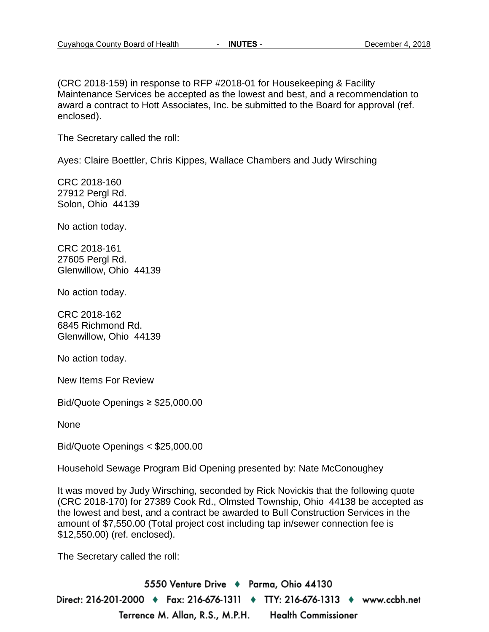(CRC 2018-159) in response to RFP #2018-01 for Housekeeping & Facility Maintenance Services be accepted as the lowest and best, and a recommendation to award a contract to Hott Associates, Inc. be submitted to the Board for approval (ref. enclosed).

The Secretary called the roll:

Ayes: Claire Boettler, Chris Kippes, Wallace Chambers and Judy Wirsching

CRC 2018-160 27912 Pergl Rd. Solon, Ohio 44139

No action today.

CRC 2018-161 27605 Pergl Rd. Glenwillow, Ohio 44139

No action today.

CRC 2018-162 6845 Richmond Rd. Glenwillow, Ohio 44139

No action today.

New Items For Review

Bid/Quote Openings ≥ \$25,000.00

None

Bid/Quote Openings < \$25,000.00

Household Sewage Program Bid Opening presented by: Nate McConoughey

It was moved by Judy Wirsching, seconded by Rick Novickis that the following quote (CRC 2018-170) for 27389 Cook Rd., Olmsted Township, Ohio 44138 be accepted as the lowest and best, and a contract be awarded to Bull Construction Services in the amount of \$7,550.00 (Total project cost including tap in/sewer connection fee is \$12,550.00) (ref. enclosed).

The Secretary called the roll:

5550 Venture Drive + Parma, Ohio 44130 Direct: 216-201-2000 ♦ Fax: 216-676-1311 ♦ TTY: 216-676-1313 ♦ www.ccbh.net Terrence M. Allan, R.S., M.P.H. **Health Commissioner**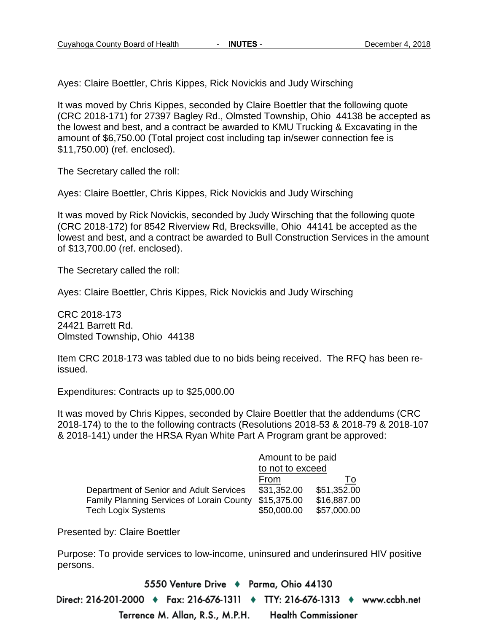Ayes: Claire Boettler, Chris Kippes, Rick Novickis and Judy Wirsching

It was moved by Chris Kippes, seconded by Claire Boettler that the following quote (CRC 2018-171) for 27397 Bagley Rd., Olmsted Township, Ohio 44138 be accepted as the lowest and best, and a contract be awarded to KMU Trucking & Excavating in the amount of \$6,750.00 (Total project cost including tap in/sewer connection fee is \$11,750.00) (ref. enclosed).

The Secretary called the roll:

Ayes: Claire Boettler, Chris Kippes, Rick Novickis and Judy Wirsching

It was moved by Rick Novickis, seconded by Judy Wirsching that the following quote (CRC 2018-172) for 8542 Riverview Rd, Brecksville, Ohio 44141 be accepted as the lowest and best, and a contract be awarded to Bull Construction Services in the amount of \$13,700.00 (ref. enclosed).

The Secretary called the roll:

Ayes: Claire Boettler, Chris Kippes, Rick Novickis and Judy Wirsching

CRC 2018-173 24421 Barrett Rd. Olmsted Township, Ohio 44138

Item CRC 2018-173 was tabled due to no bids being received. The RFQ has been reissued.

Expenditures: Contracts up to \$25,000.00

It was moved by Chris Kippes, seconded by Claire Boettler that the addendums (CRC 2018-174) to the to the following contracts (Resolutions 2018-53 & 2018-79 & 2018-107 & 2018-141) under the HRSA Ryan White Part A Program grant be approved:

|                                                  | Amount to be paid |             |  |
|--------------------------------------------------|-------------------|-------------|--|
|                                                  | to not to exceed  |             |  |
|                                                  | From              | l o         |  |
| Department of Senior and Adult Services          | \$31,352.00       | \$51,352.00 |  |
| <b>Family Planning Services of Lorain County</b> | \$15,375.00       | \$16,887.00 |  |
| <b>Tech Logix Systems</b>                        | \$50,000.00       | \$57,000.00 |  |

Presented by: Claire Boettler

Purpose: To provide services to low-income, uninsured and underinsured HIV positive persons.

5550 Venture Drive + Parma, Ohio 44130 Direct: 216-201-2000 ♦ Fax: 216-676-1311 ♦ TTY: 216-676-1313 ♦ www.ccbh.net Terrence M. Allan, R.S., M.P.H. **Health Commissioner**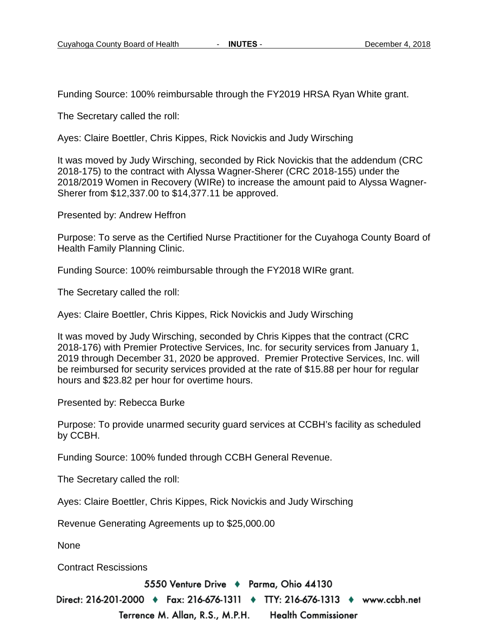Funding Source: 100% reimbursable through the FY2019 HRSA Ryan White grant.

The Secretary called the roll:

Ayes: Claire Boettler, Chris Kippes, Rick Novickis and Judy Wirsching

It was moved by Judy Wirsching, seconded by Rick Novickis that the addendum (CRC 2018-175) to the contract with Alyssa Wagner-Sherer (CRC 2018-155) under the 2018/2019 Women in Recovery (WIRe) to increase the amount paid to Alyssa Wagner-Sherer from \$12,337.00 to \$14,377.11 be approved.

Presented by: Andrew Heffron

Purpose: To serve as the Certified Nurse Practitioner for the Cuyahoga County Board of Health Family Planning Clinic.

Funding Source: 100% reimbursable through the FY2018 WIRe grant.

The Secretary called the roll:

Ayes: Claire Boettler, Chris Kippes, Rick Novickis and Judy Wirsching

It was moved by Judy Wirsching, seconded by Chris Kippes that the contract (CRC 2018-176) with Premier Protective Services, Inc. for security services from January 1, 2019 through December 31, 2020 be approved. Premier Protective Services, Inc. will be reimbursed for security services provided at the rate of \$15.88 per hour for regular hours and \$23.82 per hour for overtime hours.

Presented by: Rebecca Burke

Purpose: To provide unarmed security guard services at CCBH's facility as scheduled by CCBH.

Funding Source: 100% funded through CCBH General Revenue.

The Secretary called the roll:

Ayes: Claire Boettler, Chris Kippes, Rick Novickis and Judy Wirsching

Revenue Generating Agreements up to \$25,000.00

None

Contract Rescissions

5550 Venture Drive + Parma, Ohio 44130

Direct: 216-201-2000 ♦ Fax: 216-676-1311 ♦ TTY: 216-676-1313 ♦ www.ccbh.net Terrence M. Allan, R.S., M.P.H. **Health Commissioner**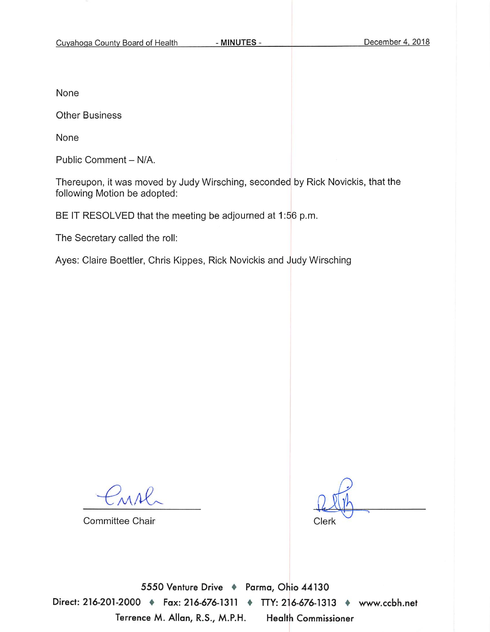None

**Other Business** 

None

Public Comment - N/A.

Thereupon, it was moved by Judy Wirsching, seconded by Rick Novickis, that the following Motion be adopted:

BE IT RESOLVED that the meeting be adjourned at 1:56 p.m.

The Secretary called the roll:

Ayes: Claire Boettler, Chris Kippes, Rick Novickis and Judy Wirsching

MAl

**Committee Chair** 

Clerk

5550 Venture Drive + Parma, Ohio 44130 Direct: 216-201-2000 + Fax: 216-676-1311 + TTY: 216-676-1313 + www.ccbh.net Terrence M. Allan, R.S., M.P.H. **Health Commissioner**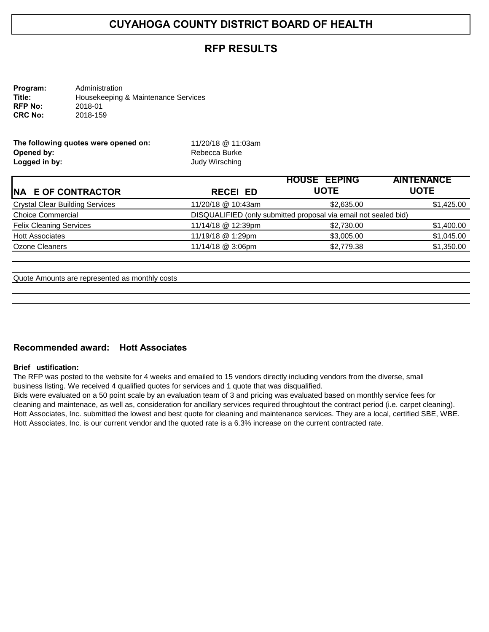### **RFP RESULTS**

| Program:       | Administration                      |
|----------------|-------------------------------------|
| Title:         | Housekeeping & Maintenance Services |
| <b>RFP No:</b> | 2018-01                             |
| <b>CRC No:</b> | 2018-159                            |

| The following quotes were opened on: | 11/20/18 @ 11:03am |
|--------------------------------------|--------------------|
| Opened by:                           | Rebecca Burke      |
| Logged in by:                        | Judy Wirsching     |

|                                                                 | <b>HOUSE EEPING</b>        | <b>AINTENANCE</b> |  |
|-----------------------------------------------------------------|----------------------------|-------------------|--|
| <b>RECEI ED</b>                                                 | <b>UOTE</b><br><b>UOTE</b> |                   |  |
| 11/20/18 @ 10:43am                                              | \$2,635.00                 | \$1,425.00        |  |
| DISQUALIFIED (only submitted proposal via email not sealed bid) |                            |                   |  |
| 11/14/18 @ 12:39pm                                              | \$2,730.00                 | \$1,400.00        |  |
| 11/19/18 @ 1:29pm                                               | \$3,005.00                 | \$1,045.00        |  |
| 11/14/18 @ 3:06pm                                               | \$2,779.38                 | \$1,350.00        |  |
|                                                                 |                            |                   |  |

Quote Amounts are represented as monthly costs

### **Recommended award: Hott Associates**

#### **Brief** ustification:

The RFP was posted to the website for 4 weeks and emailed to 15 vendors directly including vendors from the diverse, small business listing. We received 4 qualified quotes for services and 1 quote that was disqualified.

Bids were evaluated on a 50 point scale by an evaluation team of 3 and pricing was evaluated based on monthly service fees for cleaning and maintenace, as well as, consideration for ancillary services required throughtout the contract period (i.e. carpet cleaning). Hott Associates, Inc. submitted the lowest and best quote for cleaning and maintenance services. They are a local, certified SBE, WBE. Hott Associates, Inc. is our current vendor and the quoted rate is a 6.3% increase on the current contracted rate.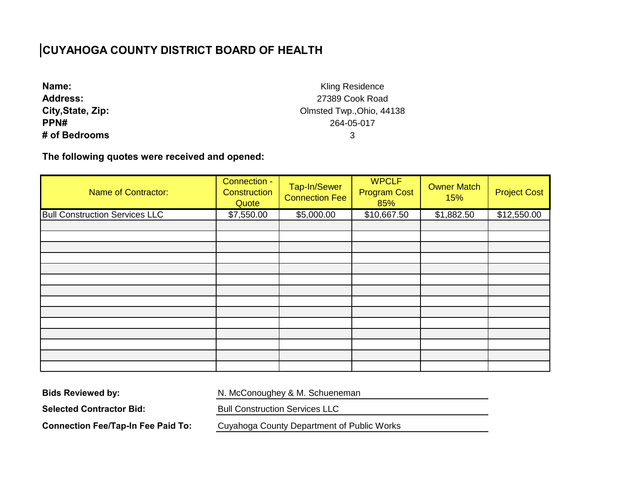| Name:             |
|-------------------|
| <b>Address:</b>   |
| City, State, Zip: |
| PPN#              |
| # of Bedrooms     |

Kling Residence 27389 Cook Road Olmsted Twp.,Ohio, 44138 264-05-017 3

**The following quotes were received and opened:** 

| <b>Name of Contractor:</b>            | Connection -<br>Construction<br>Quote | Tap-In/Sewer<br><b>Connection Fee</b> | <b>WPCLF</b><br><b>Program Cost</b><br>85% | <b>Owner Match</b><br>15% | <b>Project Cost</b> |
|---------------------------------------|---------------------------------------|---------------------------------------|--------------------------------------------|---------------------------|---------------------|
| <b>Bull Construction Services LLC</b> | \$7,550.00                            | \$5,000.00                            | \$10,667.50                                | \$1,882.50                | \$12,550.00         |
|                                       |                                       |                                       |                                            |                           |                     |
|                                       |                                       |                                       |                                            |                           |                     |
|                                       |                                       |                                       |                                            |                           |                     |
|                                       |                                       |                                       |                                            |                           |                     |
|                                       |                                       |                                       |                                            |                           |                     |
|                                       |                                       |                                       |                                            |                           |                     |
|                                       |                                       |                                       |                                            |                           |                     |
|                                       |                                       |                                       |                                            |                           |                     |
|                                       |                                       |                                       |                                            |                           |                     |
|                                       |                                       |                                       |                                            |                           |                     |
|                                       |                                       |                                       |                                            |                           |                     |
|                                       |                                       |                                       |                                            |                           |                     |
|                                       |                                       |                                       |                                            |                           |                     |
|                                       |                                       |                                       |                                            |                           |                     |

**Bids Reviewed by:** 

N. McConoughey & M. Schueneman

**Selected Contractor Bid:** 

Bull Construction Services LLC

**Connection Fee/Tap-In Fee Paid To:** 

Cuyahoga County Department of Public Works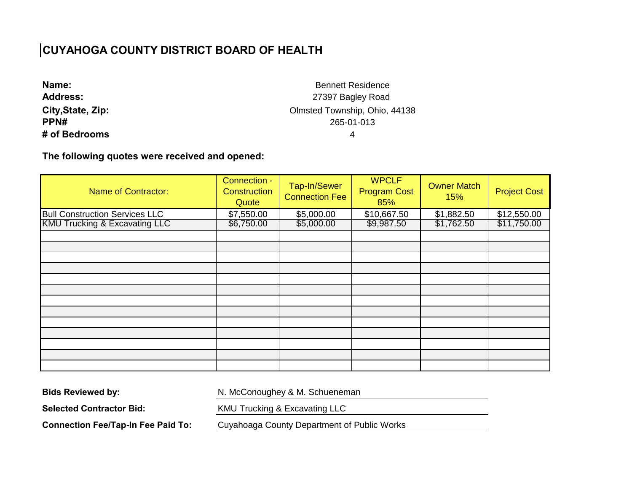| Name:             |
|-------------------|
| <b>Address:</b>   |
| City, State, Zip: |
| <b>PPN#</b>       |
| # of Bedrooms     |

Bennett Residence 27397 Bagley Road Olmsted Township, Ohio, 44138 265-01-013 4

### **The following quotes were received and opened:**

| <b>Name of Contractor:</b>               | Connection -<br><b>Construction</b><br>Quote | Tap-In/Sewer<br><b>Connection Fee</b> | <b>WPCLF</b><br><b>Program Cost</b><br>85% | <b>Owner Match</b><br>15% | <b>Project Cost</b> |
|------------------------------------------|----------------------------------------------|---------------------------------------|--------------------------------------------|---------------------------|---------------------|
| <b>Bull Construction Services LLC</b>    | \$7,550.00                                   | \$5,000.00                            | \$10,667.50                                | \$1,882.50                | \$12,550.00         |
| <b>KMU Trucking &amp; Excavating LLC</b> | \$6,750.00                                   | \$5,000.00                            | \$9,987.50                                 | \$1,762.50                | \$11,750.00         |
|                                          |                                              |                                       |                                            |                           |                     |
|                                          |                                              |                                       |                                            |                           |                     |
|                                          |                                              |                                       |                                            |                           |                     |
|                                          |                                              |                                       |                                            |                           |                     |
|                                          |                                              |                                       |                                            |                           |                     |
|                                          |                                              |                                       |                                            |                           |                     |
|                                          |                                              |                                       |                                            |                           |                     |
|                                          |                                              |                                       |                                            |                           |                     |
|                                          |                                              |                                       |                                            |                           |                     |
|                                          |                                              |                                       |                                            |                           |                     |
|                                          |                                              |                                       |                                            |                           |                     |
|                                          |                                              |                                       |                                            |                           |                     |
|                                          |                                              |                                       |                                            |                           |                     |

**Bids Reviewed by:** 

N. McConoughey & M. Schueneman

**Selected Contractor Bid:** 

KMU Trucking & Excavating LLC

**Connection Fee/Tap-In Fee Paid To:** 

Cuyahoaga County Department of Public Works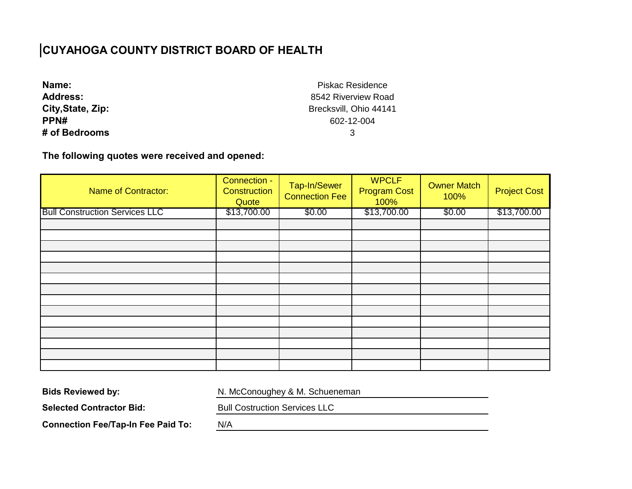| Name:             |
|-------------------|
| <b>Address:</b>   |
| City, State, Zip: |
| PPN#              |
| # of Bedrooms     |

Piskac Residence 8542 Riverview Road Brecksvill, Ohio 44141 602-12-004 3

### **The following quotes were received and opened:**

| <b>Name of Contractor:</b>            | Connection -<br>Construction<br>Quote | Tap-In/Sewer<br><b>Connection Fee</b> | <b>WPCLF</b><br><b>Program Cost</b><br>100% | <b>Owner Match</b><br>100% | <b>Project Cost</b> |
|---------------------------------------|---------------------------------------|---------------------------------------|---------------------------------------------|----------------------------|---------------------|
| <b>Bull Construction Services LLC</b> | \$13,700.00                           | \$0.00                                | \$13,700.00                                 | \$0.00                     | \$13,700.00         |
|                                       |                                       |                                       |                                             |                            |                     |
|                                       |                                       |                                       |                                             |                            |                     |
|                                       |                                       |                                       |                                             |                            |                     |
|                                       |                                       |                                       |                                             |                            |                     |
|                                       |                                       |                                       |                                             |                            |                     |
|                                       |                                       |                                       |                                             |                            |                     |
|                                       |                                       |                                       |                                             |                            |                     |
|                                       |                                       |                                       |                                             |                            |                     |
|                                       |                                       |                                       |                                             |                            |                     |
|                                       |                                       |                                       |                                             |                            |                     |
|                                       |                                       |                                       |                                             |                            |                     |
|                                       |                                       |                                       |                                             |                            |                     |
|                                       |                                       |                                       |                                             |                            |                     |
|                                       |                                       |                                       |                                             |                            |                     |

**Bids Reviewed by:** 

N. McConoughey & M. Schueneman

**Selected Contractor Bid:** 

Bull Costruction Services LLC

**Connection Fee/Tap-In Fee Paid To:** 

N/A